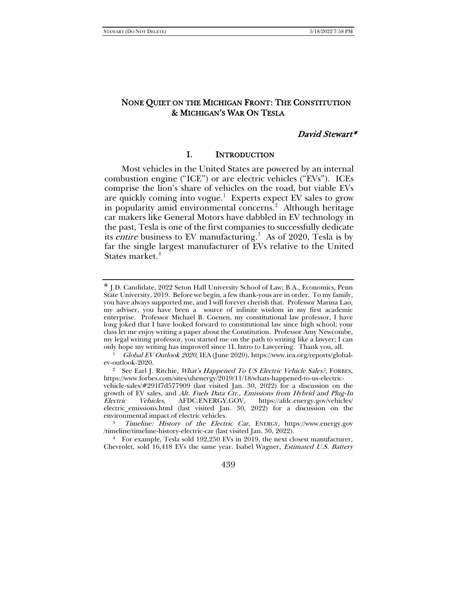# NONE QUIET ON THE MICHIGAN FRONT: THE CONSTITUTION & MICHIGAN'S WAR ON TESLA

### David Stewart\*

### I. INTRODUCTION

Most vehicles in the United States are powered by an internal combustion engine ("ICE") or are electric vehicles ("EVs"). ICEs comprise the lion's share of vehicles on the road, but viable EVs are quickly coming into vogue.<sup>[1](#page-0-0)</sup> Experts expect EV sales to grow in popularity amid environmental concerns.<sup>[2](#page-0-1)</sup> Although heritage car makers like General Motors have dabbled in EV technology in the past, Tesla is one of the first companies to successfully dedicate its *entire* business to EV manufacturing.<sup>[3](#page-0-2)</sup> As of 2020, Tesla is by far the single largest manufacturer of EVs relative to the United States market.<sup>[4](#page-0-3)</sup>

<span id="page-0-3"></span><sup>4</sup> For example, Tesla sold 192,250 EVs in 2019, the next closest manufacturer, Chevrolet, sold 16,418 EVs the same year. Isabel Wagner, Estimated U.S. Battery

439

<span id="page-0-0"></span><sup>\*</sup> J.D. Candidate, 2022 Seton Hall University School of Law; B.A., Economics, Penn State University, 2019. Before we begin, a few thank-yous are in order. To my family, you have always supported me, and I will forever cherish that. Professor Marina Lao, my adviser, you have been a source of infinite wisdom in my first academic enterprise. Professor Michael B. Coenen, my constitutional law professor, I have long joked that I have looked forward to constitutional law since high school; your class let me enjoy writing a paper about the Constitution. Professor Amy Newcombe, my legal writing professor, you started me on the path to writing like a lawyer; I can only hope my writing has improved since 1L Intro to Lawyering. Thank you, all.

<sup>1</sup> Global EV Outlook 2020, IEA (June 2020), https://www.iea.org/reports/globalev-outlook-2020.

<span id="page-0-1"></span><sup>&</sup>lt;sup>2</sup> See Earl J. Ritchie, *What's Happened To US Electric Vehicle Sales?*, FORBES, https://www.forbes.com/sites/uhenergy/2019/11/18/whats-happened-to-us-electric-

vehicle-sales/#291f7d577909 (last visited Jan. 30, 2022) for a discussion on the growth of EV sales, and *Alt. Fuels Data Čtr., Emissions from Hybrid and Plug-In*<br>Electric Vehicles, AFDC.ENERGY.GOV, https://afdc.energy.gov/vehicles/ https://afdc.energy.gov/vehicles/ electric emissions.html (last visited Jan. 30, 2022) for a discussion on the environmental impact of electric vehicles.

<span id="page-0-2"></span><sup>3</sup> Timeline: History of the Electric Car, ENERGY, https://www.energy.gov /timeline/timeline-history-electric-car (last visited Jan. 30, 2022).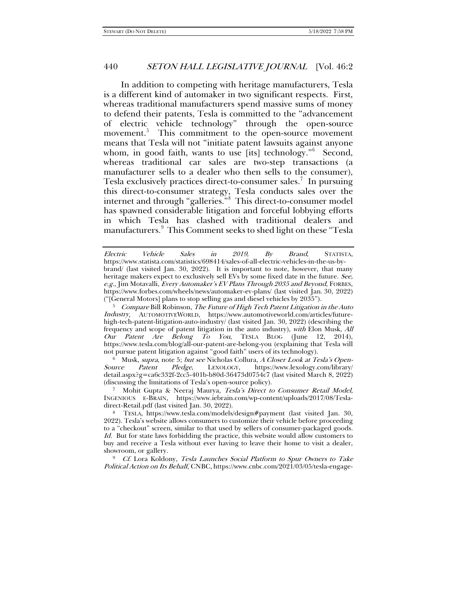<span id="page-1-0"></span>In addition to competing with heritage manufacturers, Tesla is a different kind of automaker in two significant respects. First, whereas traditional manufacturers spend massive sums of money to defend their patents, Tesla is committed to the "advancement of electric vehicle technology" through the open-source movement.<sup>[5](#page-1-1)</sup> This commitment to the open-source movement means that Tesla will not "initiate patent lawsuits against anyone whom, in good faith, wants to use [its] technology."[6](#page-1-2) Second, whereas traditional car sales are two-step transactions (a manufacturer sells to a dealer who then sells to the consumer), Tesla exclusively practices direct-to-consumer sales.<sup>[7](#page-1-3)</sup> In pursuing this direct-to-consumer strategy, Tesla conducts sales over the internet and through "galleries."[8](#page-1-4) This direct-to-consumer model has spawned considerable litigation and forceful lobbying efforts in which Tesla has clashed with traditional dealers and manufacturers.<sup>[9](#page-1-5)</sup> This Comment seeks to shed light on these "Tesla

<span id="page-1-1"></span> $5$  Compare Bill Robinson, The Future of High Tech Patent Litigation in the Auto Industry, AUTOMOTIVEWORLD, https://www.automotiveworld.com/articles/futurehigh-tech-patent-litigation-auto-industry/ (last visited Jan. 30, 2022) (describing the frequency and scope of patent litigation in the auto industry), with Elon Musk, All Our Patent Are Belong To You, TESLA BLOG (June 12, 2014), https://www.tesla.com/blog/all-our-patent-are-belong-you (explaining that Tesla will not pursue patent litigation against "good faith" users of its technology).

<span id="page-1-2"></span><sup>6</sup> Musk, *supra*, not[e 5;](#page-1-0) *but see* Nicholas Collura, *A Closer Look at Tesla's Open-*<br>Source Patent Pledge, LEXOLOGY, https://www.lexology.com/library/ https://www.lexology.com/library/ detail.aspx?g=ca6c332f-2cc5-401b-b80d-36473d0754c7 (last visited March 8, 2022) (discussing the limitations of Tesla's open-source policy).

<span id="page-1-3"></span>Mohit Gupta & Neeraj Maurya, Tesla's Direct to Consumer Retail Model, INGENIOUS E-BRAIN, https://www.iebrain.com/wp-content/uploads/2017/08/Tesladirect-Retail.pdf (last visited Jan. 30, 2022).

<span id="page-1-4"></span><sup>8</sup> TESLA, https://www.tesla.com/models/design#payment (last visited Jan. 30, 2022). Tesla's website allows consumers to customize their vehicle before proceeding to a "checkout" screen, similar to that used by sellers of consumer-packaged goods. Id. But for state laws forbidding the practice, this website would allow customers to buy and receive a Tesla without ever having to leave their home to visit a dealer, showroom, or gallery.

<span id="page-1-5"></span><sup>9</sup> Cf. Lora Koldony, Tesla Launches Social Platform to Spur Owners to Take Political Action on Its Behalf, CNBC, https://www.cnbc.com/2021/03/05/tesla-engage-

Electric Vehicle Sales in 2019, By Brand, STATISTA, https://www.statista.com/statistics/698414/sales-of-all-electric-vehicles-in-the-us-bybrand/ (last visited Jan. 30, 2022). It is important to note, however, that many heritage makers expect to exclusively sell EVs by some fixed date in the future. See, e.g., Jim Motavalli, Every Automaker's EV Plans Through 2035 and Beyond, FORBES, https://www.forbes.com/wheels/news/automaker-ev-plans/ (last visited Jan. 30, 2022) ("[General Motors] plans to stop selling gas and diesel vehicles by 2035").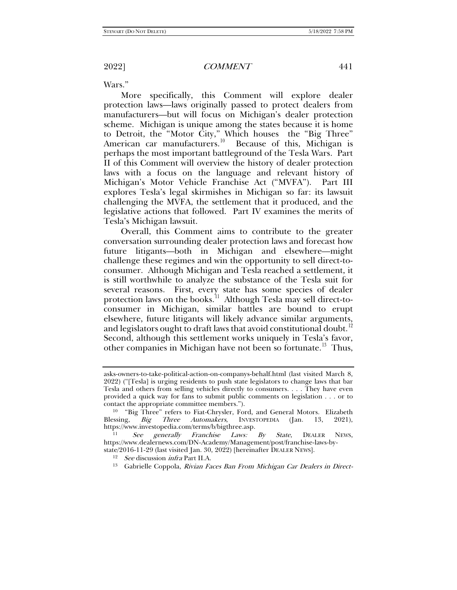Wars."

More specifically, this Comment will explore dealer protection laws—laws originally passed to protect dealers from manufacturers—but will focus on Michigan's dealer protection scheme. Michigan is unique among the states because it is home to Detroit, the "Motor City," Which houses the "Big Three" American car manufacturers.<sup>[10](#page-2-0)</sup> Because of this, Michigan is perhaps the most important battleground of the Tesla Wars. Part II of this Comment will overview the history of dealer protection laws with a focus on the language and relevant history of Michigan's Motor Vehicle Franchise Act ("MVFA"). Part III explores Tesla's legal skirmishes in Michigan so far: its lawsuit challenging the MVFA, the settlement that it produced, and the legislative actions that followed. Part IV examines the merits of Tesla's Michigan lawsuit.

<span id="page-2-4"></span>Overall, this Comment aims to contribute to the greater conversation surrounding dealer protection laws and forecast how future litigants—both in Michigan and elsewhere—might challenge these regimes and win the opportunity to sell direct-toconsumer. Although Michigan and Tesla reached a settlement, it is still worthwhile to analyze the substance of the Tesla suit for several reasons. First, every state has some species of dealer protection laws on the books.<sup>[11](#page-2-1)</sup> Although Tesla may sell direct-toconsumer in Michigan, similar battles are bound to erupt elsewhere, future litigants will likely advance similar arguments, and legislators ought to draft laws that avoid constitutional doubt.<sup>[12](#page-2-2)</sup> Second, although this settlement works uniquely in Tesla's favor, other companies in Michigan have not been so fortunate.<sup>13</sup> Thus,

asks-owners-to-take-political-action-on-companys-behalf.html (last visited March 8, 2022) ("[Tesla] is urging residents to push state legislators to change laws that bar Tesla and others from selling vehicles directly to consumers. . . . They have even provided a quick way for fans to submit public comments on legislation . . . or to contact the appropriate committee members.").

<span id="page-2-0"></span><sup>&</sup>lt;sup>10</sup> "Big Three" refers to Fiat-Chrysler, Ford, and General Motors. Elizabeth Blessing, *Big Three Automakers*, INVESTOPEDIA (Jan. 13, 2021), https://www.investopedia.com/terms/b/bigthree.asp.<br>
<sup>11</sup> See generally Franchise Laws: By State, DEALER NEWS,

<span id="page-2-3"></span><span id="page-2-2"></span><span id="page-2-1"></span>https://www.dealernews.com/DN-Academy/Management/post/franchise-laws-bystate/2016-11-29 (last visited Jan. 30, 2022) [hereinafter DEALER NEWS].

<sup>&</sup>lt;sup>12</sup> See discussion *infra* Part II.A.<br><sup>13</sup> Gabrielle Coppola, *Rivian Faces Ban From Michigan Car Dealers in Direct-*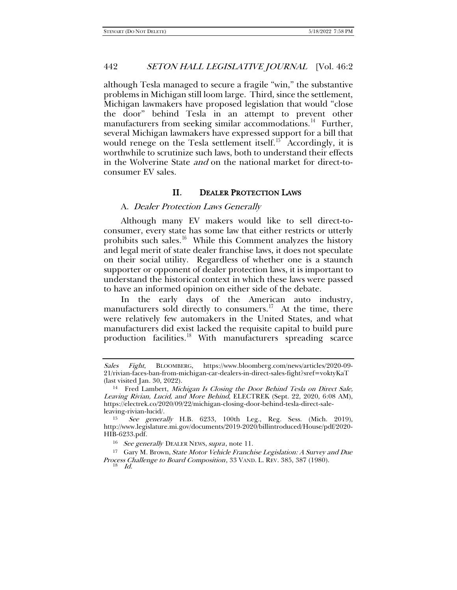although Tesla managed to secure a fragile "win," the substantive problems in Michigan still loom large. Third, since the settlement, Michigan lawmakers have proposed legislation that would "close the door" behind Tesla in an attempt to prevent other manufacturers from seeking similar accommodations.<sup>14</sup> Further, several Michigan lawmakers have expressed support for a bill that would renege on the Tesla settlement itself.<sup>15</sup> Accordingly, it is worthwhile to scrutinize such laws, both to understand their effects in the Wolverine State and on the national market for direct-toconsumer EV sales.

## <span id="page-3-7"></span><span id="page-3-6"></span><span id="page-3-5"></span>II. DEALER PROTECTION LAWS

#### A. Dealer Protection Laws Generally

Although many EV makers would like to sell direct-toconsumer, every state has some law that either restricts or utterly prohibits such sales.<sup>[16](#page-3-2)</sup> While this Comment analyzes the history and legal merit of state dealer franchise laws, it does not speculate on their social utility. Regardless of whether one is a staunch supporter or opponent of dealer protection laws, it is important to understand the historical context in which these laws were passed to have an informed opinion on either side of the debate.

In the early days of the American auto industry, manufacturers sold directly to consumers.<sup>[17](#page-3-3)</sup> At the time, there were relatively few automakers in the United States, and what manufacturers did exist lacked the requisite capital to build pure production facilities.<sup>[18](#page-3-4)</sup> With manufacturers spreading scarce

Sales Fight, BLOOMBERG, https://www.bloomberg.com/news/articles/2020-09- 21/rivian-faces-ban-from-michigan-car-dealers-in-direct-sales-fight?sref=voktyKaT (last visited Jan. 30, 2022).

<span id="page-3-0"></span><sup>&</sup>lt;sup>14</sup> Fred Lambert, Michigan Is Closing the Door Behind Tesla on Direct Sale, Leaving Rivian, Lucid, and More Behind, ELECTREK (Sept. 22, 2020, 6:08 AM), https://electrek.co/2020/09/22/michigan-closing-door-behind-tesla-direct-saleleaving-rivian-lucid/.

<span id="page-3-1"></span><sup>15</sup> See generally H.B. 6233, 100th Leg., Reg. Sess. (Mich. 2019), http://www.legislature.mi.gov/documents/2019-2020/billintroduced/House/pdf/2020- HIB-6233.pdf.

<sup>&</sup>lt;sup>16</sup> See generally DEALER NEWS, supra, note [11.](#page-2-4)

<span id="page-3-4"></span><span id="page-3-3"></span><span id="page-3-2"></span><sup>17</sup> Gary M. Brown, State Motor Vehicle Franchise Legislation: A Survey and Due Process Challenge to Board Composition, 33 VAND. L. REV. 385, 387 (1980).

<sup>18</sup> Id.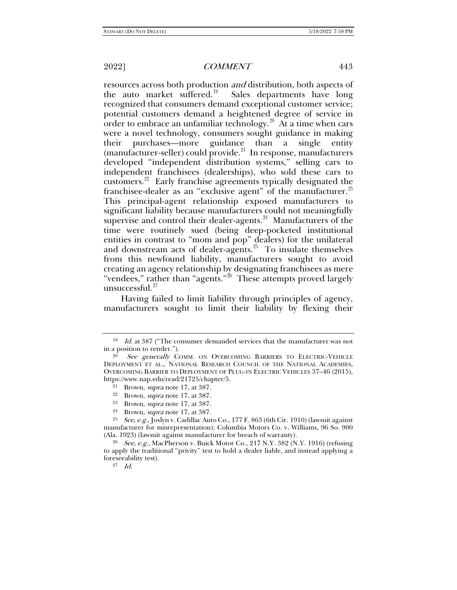resources across both production and distribution, both aspects of the auto market suffered.<sup>[19](#page-4-0)</sup> Sales departments have long recognized that consumers demand exceptional customer service; potential customers demand a heightened degree of service in order to embrace an unfamiliar technology. $20$  At a time when cars were a novel technology, consumers sought guidance in making their purchases—more guidance than a single entity  $(manufacturer-seller)$  could provide.<sup>[21](#page-4-2)</sup> In response, manufacturers developed "independent distribution systems," selling cars to independent franchisees (dealerships), who sold these cars to customers.[22](#page-4-3) Early franchise agreements typically designated the franchisee-dealer as an "exclusive agent" of the manufacturer.<sup>[23](#page-4-4)</sup> This principal-agent relationship exposed manufacturers to significant liability because manufacturers could not meaningfully supervise and control their dealer-agents.<sup>24</sup> Manufacturers of the time were routinely sued (being deep-pocketed institutional entities in contrast to "mom and pop" dealers) for the unilateral and downstream acts of dealer-agents. $25$  To insulate themselves from this newfound liability, manufacturers sought to avoid creating an agency relationship by designating franchisees as mere "vendees," rather than "agents."<sup>26</sup> These attempts proved largely unsuccessful.<sup>[27](#page-4-8)</sup>

Having failed to limit liability through principles of agency, manufacturers sought to limit their liability by flexing their

- Brown, *supra* note [17,](#page-3-5) at 387.
- <sup>24</sup> Brown, *supra* note [17,](#page-3-5) at 387.

<span id="page-4-0"></span> $19$  *Id.* at 387 ("The consumer demanded services that the manufacturer was not in a position to render.").

<span id="page-4-2"></span><span id="page-4-1"></span>See generally COMM. ON OVERCOMING BARRIERS TO ELECTRIC-VEHICLE DEPLOYMENT ET AL., NATIONAL RESEARCH COUNCIL OF THE NATIONAL ACADEMIES, OVERCOMING BARRIER TO DEPLOYMENT OF PLUG-IN ELECTRIC VEHICLES 37–46 (2015), https://www.nap.edu/read/21725/chapter/5.

<sup>&</sup>lt;sup>21</sup> Brown, *supra* note [17,](#page-3-5) at 387.

<sup>&</sup>lt;sup>22</sup> Brown, *supra* note [17,](#page-3-5) at 387.<br><sup>23</sup> Brown, *supra* note 17, at 387.

<span id="page-4-6"></span><span id="page-4-5"></span><span id="page-4-4"></span><span id="page-4-3"></span><sup>&</sup>lt;sup>25</sup> See, e.g., Joslyn v. Cadillac Auto Co., 177 F. 863 (6th Cir. 1910) (lawsuit against manufacturer for misrepresentation); Columbia Motors Co. v. Williams, 96 So. 900 (Ala. 1923) (lawsuit against manufacturer for breach of warranty).

<span id="page-4-8"></span><span id="page-4-7"></span><sup>&</sup>lt;sup>26</sup> See, e.g., MacPherson v. Buick Motor Co., 217 N.Y. 382 (N.Y. 1916) (refusing to apply the traditional "privity" test to hold a dealer liable, and instead applying a foreseeability test).

<sup>27</sup> Id.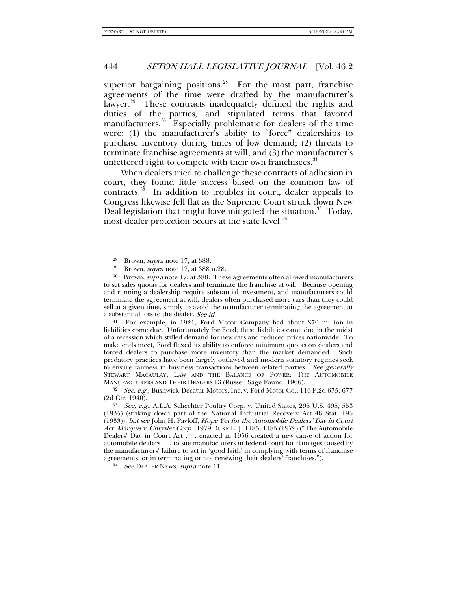superior bargaining positions. $28$  For the most part, franchise agreements of the time were drafted by the manufacturer's lawyer.<sup>[29](#page-5-1)</sup> These contracts inadequately defined the rights and duties of the parties, and stipulated terms that favored manufacturers.<sup>[30](#page-5-2)</sup> Especially problematic for dealers of the time were: (1) the manufacturer's ability to "force" dealerships to purchase inventory during times of low demand; (2) threats to terminate franchise agreements at will; and (3) the manufacturer's unfettered right to compete with their own franchisees. $31$ 

When dealers tried to challenge these contracts of adhesion in court, they found little success based on the common law of contracts. $32$  In addition to troubles in court, dealer appeals to Congress likewise fell flat as the Supreme Court struck down New Deal legislation that might have mitigated the situation.<sup>33</sup> Today, most dealer protection occurs at the state level.<sup>[34](#page-5-6)</sup>

<span id="page-5-3"></span><sup>31</sup> For example, in 1921, Ford Motor Company had about \$70 million in liabilities come due. Unfortunately for Ford, these liabilities came due in the midst of a recession which stifled demand for new cars and reduced prices nationwide. To make ends meet, Ford flexed its ability to enforce minimum quotas on dealers and forced dealers to purchase more inventory than the market demanded. Such predatory practices have been largely outlawed and modern statutory regimes seek to ensure fairness in business transactions between related parties. See generally STEWART MACAULAY, LAW AND THE BALANCE OF POWER: THE AUTOMOBILE MANUFACTURERS AND THEIR DEALERS 13 (Russell Sage Found. 1966).<br><sup>32</sup> See, e.g., Bushwick-Decatur Motors, Inc. v. Ford Motor Co., 116 F.2d 675, 677

<span id="page-5-4"></span>(2d Cir. 1940).

<span id="page-5-6"></span><sup>34</sup> See DEALER NEWS, supra note 11.

<sup>28</sup> Brown, supra note [17,](#page-3-5) at 388.

<sup>&</sup>lt;sup>29</sup> Brown, *supra* note [17,](#page-3-5) at 388 n.28.

<span id="page-5-2"></span><span id="page-5-1"></span><span id="page-5-0"></span><sup>30</sup> Brown, supra not[e 17,](#page-3-5) at 388. These agreements often allowed manufacturers to set sales quotas for dealers and terminate the franchise at will. Because opening and running a dealership require substantial investment, and manufacturers could terminate the agreement at will, dealers often purchased more cars than they could sell at a given time, simply to avoid the manufacturer terminating the agreement at a substantial loss to the dealer. See id.

<span id="page-5-5"></span><sup>33</sup> See, e.g., A.L.A. Schechter Poultry Corp. v. United States, 295 U.S. 495, 553 (1935) (striking down part of the National Industrial Recovery Act 48 Stat. 195 (1933)); but see John H. Pavloff, Hope Yet for the Automobile Dealers' Day in Court Act: Marquis v. Chrysler Corp., 1979 DUKE L. J. 1185, 1185 (1979) ("The Automobile Dealers' Day in Court Act . . . enacted in 1956 created a new cause of action for automobile dealers . . . to sue manufacturers in federal court for damages caused by the manufacturers' failure to act in 'good faith' in complying with terms of franchise agreements, or in terminating or not renewing their dealers' franchises.").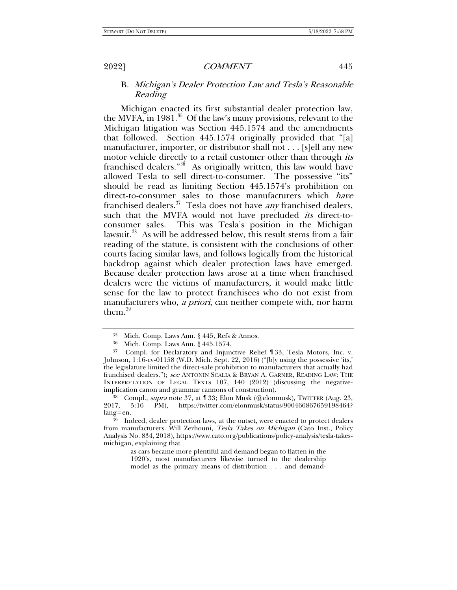B. Michigan's Dealer Protection Law and Tesla's Reasonable Reading

<span id="page-6-0"></span>Michigan enacted its first substantial dealer protection law, the MVFA, in  $1981$ <sup>35</sup> Of the law's many provisions, relevant to the Michigan litigation was Section 445.1574 and the amendments that followed. Section 445.1574 originally provided that "[a] manufacturer, importer, or distributor shall not . . . [s]ell any new motor vehicle directly to a retail customer other than through *its* franchised dealers."<sup>[36](#page-6-2)</sup> As originally written, this law would have allowed Tesla to sell direct-to-consumer. The possessive "its" should be read as limiting Section 445.1574's prohibition on direct-to-consumer sales to those manufacturers which have franchised dealers.<sup>[37](#page-6-3)</sup> Tesla does not have *any* franchised dealers, such that the MVFA would not have precluded *its* direct-toconsumer sales. This was Tesla's position in the Michigan lawsuit.<sup>[38](#page-6-4)</sup> As will be addressed below, this result stems from a fair reading of the statute, is consistent with the conclusions of other courts facing similar laws, and follows logically from the historical backdrop against which dealer protection laws have emerged. Because dealer protection laws arose at a time when franchised dealers were the victims of manufacturers, it would make little sense for the law to protect franchisees who do not exist from manufacturers who, *a priori*, can neither compete with, nor harm them. $39$ 

<span id="page-6-6"></span><sup>35</sup> Mich. Comp. Laws Ann. § 445, Refs & Annos.

<sup>36</sup> Mich. Comp. Laws Ann. § 445.1574.

<span id="page-6-3"></span><span id="page-6-2"></span><span id="page-6-1"></span><sup>37</sup> Compl. for Declaratory and Injunctive Relief ¶ 33, Tesla Motors, Inc. v. Johnson, 1:16-cv-01158 (W.D. Mich. Sept. 22, 2016) ("[b]y using the possessive 'its,' the legislature limited the direct-sale prohibition to manufacturers that actually had franchised dealers."); see ANTONIN SCALIA & BRYAN A. GARNER, READING LAW: THE INTERPRETATION OF LEGAL TEXTS 107, 140 (2012) (discussing the negativeimplication canon and grammar cannons of construction).

<span id="page-6-4"></span><sup>&</sup>lt;sup>38</sup> Compl., *supra* note [37,](#page-6-0) at  $\text{\degree}$  33; Elon Musk (@elonmusk), TWITTER (Aug. 23, 2017, 5:16 PM), https://twitter.com/elonmusk/status/900466867659198464? 5:16 PM), https://twitter.com/elonmusk/status/900466867659198464? lang=en.

<span id="page-6-5"></span><sup>39</sup> Indeed, dealer protection laws, at the outset, were enacted to protect dealers from manufacturers. Will Zerhouni, Tesla Takes on Michigan (Cato Inst., Policy Analysis No. 834, 2018), https://www.cato.org/publications/policy-analysis/tesla-takesmichigan, explaining that

as cars became more plentiful and demand began to flatten in the 1920's, most manufacturers likewise turned to the dealership model as the primary means of distribution . . . and demand-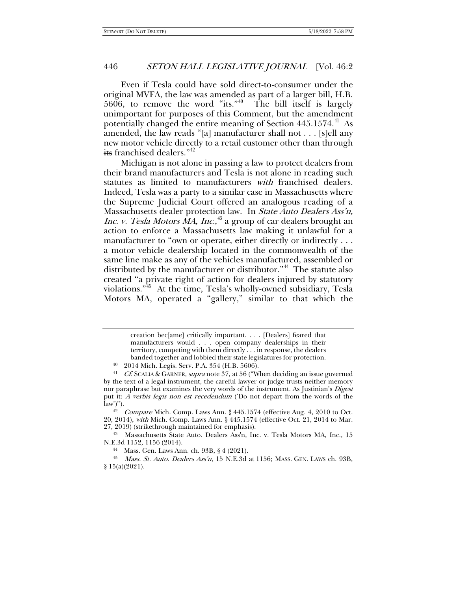Even if Tesla could have sold direct-to-consumer under the original MVFA, the law was amended as part of a larger bill, H.B.  $5606$ , to remove the word "its."<sup>40</sup> The bill itself is largely unimportant for purposes of this Comment, but the amendment potentially changed the entire meaning of Section  $445.1574<sup>41</sup>$  As amended, the law reads "[a] manufacturer shall not . . . [s]ell any new motor vehicle directly to a retail customer other than through its franchised dealers."<sup>[42](#page-7-2)</sup>

Michigan is not alone in passing a law to protect dealers from their brand manufacturers and Tesla is not alone in reading such statutes as limited to manufacturers with franchised dealers. Indeed, Tesla was a party to a similar case in Massachusetts where the Supreme Judicial Court offered an analogous reading of a Massachusetts dealer protection law. In State Auto Dealers Ass'n, Inc. v. Tesla Motors MA, Inc.,<sup>[43](#page-7-3)</sup> a group of car dealers brought an action to enforce a Massachusetts law making it unlawful for a manufacturer to "own or operate, either directly or indirectly . . . a motor vehicle dealership located in the commonwealth of the same line make as any of the vehicles manufactured, assembled or distributed by the manufacturer or distributor."<sup>44</sup> The statute also created "a private right of action for dealers injured by statutory violations."[45](#page-7-5) At the time, Tesla's wholly-owned subsidiary, Tesla Motors MA, operated a "gallery," similar to that which the

creation bec[ame] critically important. . . . [Dealers] feared that manufacturers would . . . open company dealerships in their territory, competing with them directly . . . in response, the dealers banded together and lobbied their state legislatures for protection.

<sup>40</sup> 2014 Mich. Legis. Serv. P.A. 354 (H.B. 5606).

<span id="page-7-1"></span><span id="page-7-0"></span><sup>&</sup>lt;sup>41</sup> Cf. SCALIA & GARNER, supra not[e 37,](#page-6-0) at 56 ("When deciding an issue governed" by the text of a legal instrument, the careful lawyer or judge trusts neither memory nor paraphrase but examines the very words of the instrument. As Justinian's *Digest* put it: A verbis legis non est recedendum ('Do not depart from the words of the law')").<br><sup>42</sup> Compare Mich. Comp. Laws Ann. § 445.1574 (effective Aug. 4, 2010 to Oct.

<span id="page-7-2"></span><sup>20, 2014),</sup> with Mich. Comp. Laws Ann. § 445.1574 (effective Oct. 21, 2014 to Mar. 27, 2019) (strikethrough maintained for emphasis).

<span id="page-7-3"></span><sup>43</sup> Massachusetts State Auto. Dealers Ass'n, Inc. v. Tesla Motors MA, Inc., 15 N.E.3d 1152, 1156 (2014).

<sup>44</sup> Mass. Gen. Laws Ann. ch. 93B, § 4 (2021).

<span id="page-7-5"></span><span id="page-7-4"></span><sup>45</sup> Mass. St. Auto. Dealers Ass'n, 15 N.E.3d at 1156; MASS. GEN. LAWS ch. 93B, § 15(a)(2021).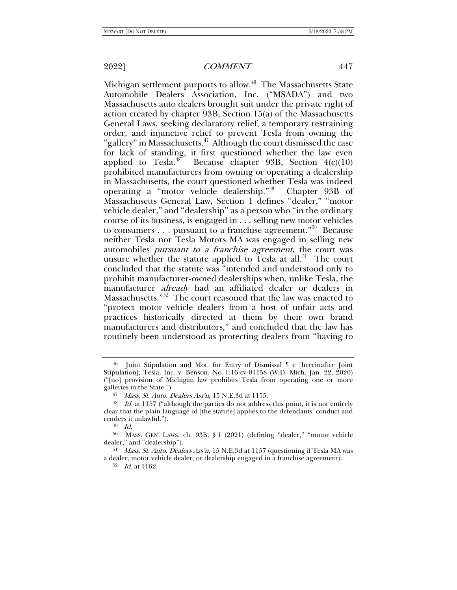Michigan settlement purports to allow.<sup>[46](#page-8-0)</sup> The Massachusetts State Automobile Dealers Association, Inc. ("MSADA") and two Massachusetts auto dealers brought suit under the private right of action created by chapter 93B, Section 15(a) of the Massachusetts General Laws, seeking declaratory relief, a temporary restraining order, and injunctive relief to prevent Tesla from owning the "gallery" in Massachusetts.<sup>47</sup> Although the court dismissed the case for lack of standing, it first questioned whether the law even applied to Tesla.<sup>[48](#page-8-2)</sup> Because chapter 93B, Section  $4(c)(10)$ prohibited manufacturers from owning or operating a dealership in Massachusetts, the court questioned whether Tesla was indeed operating a "motor vehicle dealership."[49](#page-8-3) Chapter 93B of Massachusetts General Law, Section 1 defines "dealer," "motor vehicle dealer," and "dealership" as a person who "in the ordinary course of its business, is engaged in . . . selling new motor vehicles to consumers  $\dots$  pursuant to a franchise agreement."<sup>[50](#page-8-4)</sup> Because neither Tesla nor Tesla Motors MA was engaged in selling new automobiles pursuant to a franchise agreement, the court was unsure whether the statute applied to Tesla at all.<sup>[51](#page-8-5)</sup> The court concluded that the statute was "intended and understood only to prohibit manufacturer-owned dealerships when, unlike Tesla, the manufacturer already had an affiliated dealer or dealers in Massachusetts."[52](#page-8-6) The court reasoned that the law was enacted to "protect motor vehicle dealers from a host of unfair acts and practices historically directed at them by their own brand manufacturers and distributors," and concluded that the law has routinely been understood as protecting dealers from "having to

<sup>52</sup> Id. at 1162.

<span id="page-8-7"></span>

<span id="page-8-0"></span><sup>46</sup> Joint Stipulation and Mot. for Entry of Dismissal ¶ e [hereinafter Joint Stipulation]; Tesla, Inc. v. Benson, No. 1:16-cv-01158 (W.D. Mich. Jan. 22, 2020) ("[no] provision of Michigan law prohibits Tesla from operating one or more galleries in the State.").

 $47$  *Mass. St. Auto. Dealers Ass'n*, 15 N.E.3d at 1155.

<span id="page-8-2"></span><span id="page-8-1"></span><sup>&</sup>lt;sup>48</sup> Id. at 1157 ("although the parties do not address this point, it is not entirely clear that the plain language of [the statute] applies to the defendants' conduct and renders it unlawful.").

<sup>49</sup> Id.

<span id="page-8-4"></span><span id="page-8-3"></span><sup>50</sup> MASS. GEN. LAWS. ch. 93B, § 1 (2021) (defining "dealer," "motor vehicle dealer," and "dealership").

<span id="page-8-6"></span><span id="page-8-5"></span><sup>51</sup> Mass. St. Auto. Dealers Ass'n, 15 N.E.3d at 1157 (questioning if Tesla MA was a dealer, motor vehicle dealer, or dealership engaged in a franchise agreement).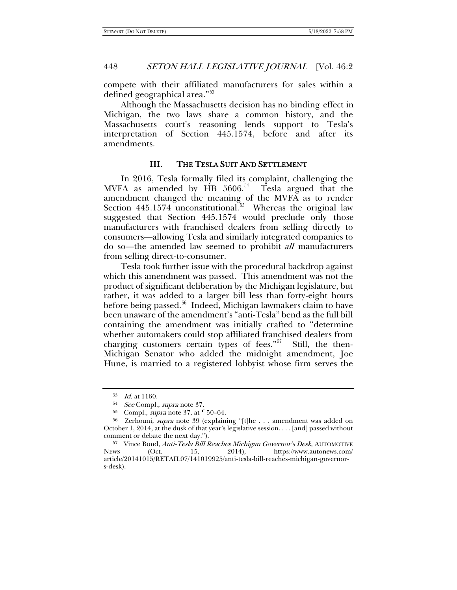compete with their affiliated manufacturers for sales within a defined geographical area."[53](#page-9-0)

Although the Massachusetts decision has no binding effect in Michigan, the two laws share a common history, and the Massachusetts court's reasoning lends support to Tesla's interpretation of Section 445.1574, before and after its amendments.

# III. THE TESLA SUIT AND SETTLEMENT

In 2016, Tesla formally filed its complaint, challenging the MVFA as amended by HB  $5606.^{54}$  $5606.^{54}$  $5606.^{54}$  Tesla argued that the amendment changed the meaning of the MVFA as to render Section 445.1574 unconstitutional.<sup>[55](#page-9-2)</sup> Whereas the original law suggested that Section 445.1574 would preclude only those manufacturers with franchised dealers from selling directly to consumers—allowing Tesla and similarly integrated companies to do so—the amended law seemed to prohibit all manufacturers from selling direct-to-consumer.

Tesla took further issue with the procedural backdrop against which this amendment was passed. This amendment was not the product of significant deliberation by the Michigan legislature, but rather, it was added to a larger bill less than forty-eight hours before being passed. $^{56}$  $^{56}$  $^{56}$  Indeed, Michigan lawmakers claim to have been unaware of the amendment's "anti-Tesla" bend as the full bill containing the amendment was initially crafted to "determine whether automakers could stop affiliated franchised dealers from charging customers certain types of fees."<sup>[57](#page-9-4)</sup> Still, the then-Michigan Senator who added the midnight amendment, Joe Hune, is married to a registered lobbyist whose firm serves the

<sup>&</sup>lt;sup>53</sup> *Id.* at 1160.<br><sup>54</sup> *See* Compl., *supra* note 37.

 $55$  Compl., *supra* note [37,](#page-6-0) at  $\P 50-64$ .

<span id="page-9-3"></span><span id="page-9-2"></span><span id="page-9-1"></span><span id="page-9-0"></span><sup>&</sup>lt;sup>56</sup> Zerhouni, *supra* note [39](#page-6-6) (explaining "[t]he . . . amendment was added on October 1, 2014, at the dusk of that year's legislative session. . . . [and] passed without comment or debate the next day.").

<span id="page-9-4"></span><sup>57</sup> Vince Bond, Anti-Tesla Bill Reaches Michigan Governor's Desk, AUTOMOTIVE NEWS (Oct. 15, 2014), https://www.autonews.com/ article/20141015/RETAIL07/141019925/anti-tesla-bill-reaches-michigan-governors-desk).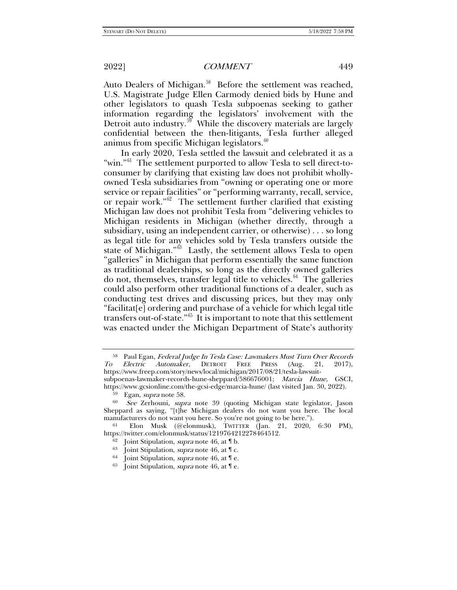<span id="page-10-0"></span>

Auto Dealers of Michigan.<sup>[58](#page-10-1)</sup> Before the settlement was reached, U.S. Magistrate Judge Ellen Carmody denied bids by Hune and other legislators to quash Tesla subpoenas seeking to gather information regarding the legislators' involvement with the Detroit auto industry.<sup>59</sup> While the discovery materials are largely confidential between the then-litigants, Tesla further alleged animus from specific Michigan legislators. $60$ 

In early 2020, Tesla settled the lawsuit and celebrated it as a "win."<sup>61</sup> The settlement purported to allow Tesla to sell direct-toconsumer by clarifying that existing law does not prohibit whollyowned Tesla subsidiaries from "owning or operating one or more service or repair facilities" or "performing warranty, recall, service, or repair work."[62](#page-10-5) The settlement further clarified that existing Michigan law does not prohibit Tesla from "delivering vehicles to Michigan residents in Michigan (whether directly, through a subsidiary, using an independent carrier, or otherwise) . . . so long as legal title for any vehicles sold by Tesla transfers outside the state of Michigan."<sup>63</sup> Lastly, the settlement allows Tesla to open "galleries" in Michigan that perform essentially the same function as traditional dealerships, so long as the directly owned galleries do not, themselves, transfer legal title to vehicles. $64$  The galleries could also perform other traditional functions of a dealer, such as conducting test drives and discussing prices, but they may only "facilitat[e] ordering and purchase of a vehicle for which legal title transfers out-of-state." $65$  It is important to note that this settlement was enacted under the Michigan Department of State's authority

<span id="page-10-1"></span><sup>58</sup> Paul Egan, Federal Judge In Tesla Case: Lawmakers Must Turn Over Records To Electric Automaker, DETROIT FREE PRESS (Aug. 21, 2017), https://www.freep.com/story/news/local/michigan/2017/08/21/tesla-lawsuit-

subpoenas-lawmaker-records-hune-sheppard/586676001; Marcia Hune, GSCI, https://www.gcsionline.com/the-gcsi-edge/marcia-hune/ (last visited Jan. 30, 2022).

<sup>59</sup> Egan, supra note [58.](#page-10-0)

<span id="page-10-3"></span><span id="page-10-2"></span> $60$  See Zerhouni, supra note [39](#page-6-6) (quoting Michigan state legislator, Jason Sheppard as saying, "[t]he Michigan dealers do not want you here. The local manufacturers do not want you here. So you're not going to be here.").

<span id="page-10-8"></span><span id="page-10-7"></span><span id="page-10-6"></span><span id="page-10-5"></span><span id="page-10-4"></span><sup>61</sup> Elon Musk (@elonmusk), TWITTER (Jan. 21, 2020, 6:30 PM), https://twitter.com/elonmusk/status/1219764212278464512.

 $62$  Joint Stipulation, *supra* not[e 46,](#page-8-7) at  $\mathbb{I}$  b.

 $63$  Joint Stipulation, *supra* not[e 46,](#page-8-7) at  $\mathbb{T}$  c.

<sup>&</sup>lt;sup>64</sup> Joint Stipulation, *supra* not[e 46,](#page-8-7) at  $\parallel$  e.

Joint Stipulation, *supra* not[e 46,](#page-8-7) at  $\P$  e.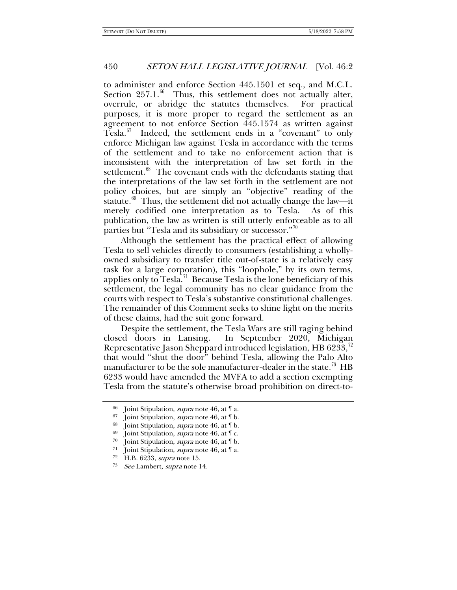to administer and enforce Section 445.1501 et seq., and M.C.L. Section  $257.1.^{66}$  $257.1.^{66}$  $257.1.^{66}$  Thus, this settlement does not actually alter, overrule, or abridge the statutes themselves. For practical purposes, it is more proper to regard the settlement as an agreement to not enforce Section 445.1574 as written against Tesla. $^{67}$  $^{67}$  $^{67}$  Indeed, the settlement ends in a "covenant" to only enforce Michigan law against Tesla in accordance with the terms of the settlement and to take no enforcement action that is inconsistent with the interpretation of law set forth in the settlement.<sup>68</sup> The covenant ends with the defendants stating that the interpretations of the law set forth in the settlement are not policy choices, but are simply an "objective" reading of the statute. $69$  Thus, the settlement did not actually change the law—it merely codified one interpretation as to Tesla. As of this publication, the law as written is still utterly enforceable as to all parties but "Tesla and its subsidiary or successor." $\frac{70}{10}$  $\frac{70}{10}$  $\frac{70}{10}$ 

Although the settlement has the practical effect of allowing Tesla to sell vehicles directly to consumers (establishing a whollyowned subsidiary to transfer title out-of-state is a relatively easy task for a large corporation), this "loophole," by its own terms, applies only to Tesla.<sup>71</sup> Because Tesla is the lone beneficiary of this settlement, the legal community has no clear guidance from the courts with respect to Tesla's substantive constitutional challenges. The remainder of this Comment seeks to shine light on the merits of these claims, had the suit gone forward.

Despite the settlement, the Tesla Wars are still raging behind closed doors in Lansing. In September 2020, Michigan Representative Jason Sheppard introduced legislation, HB 6233, $^{72}$  $^{72}$  $^{72}$ that would "shut the door" behind Tesla, allowing the Palo Alto manufacturer to be the sole manufacturer-dealer in the state.<sup>73</sup> HB 6233 would have amended the MVFA to add a section exempting Tesla from the statute's otherwise broad prohibition on direct-to-

<span id="page-11-1"></span><span id="page-11-0"></span><sup>&</sup>lt;sup>66</sup> Joint Stipulation, *supra* not[e 46,](#page-8-7) at  $\P$  a.<br><sup>67</sup> Joint Stipulation, *supra* note 46, at  $\P$  b.

Joint Stipulation, *supra* not[e 46,](#page-8-7) at  $\mathbb{I}$  b.

<span id="page-11-2"></span><sup>68</sup> Joint Stipulation, supra not[e 46,](#page-8-7) at ¶ b.

<span id="page-11-4"></span><span id="page-11-3"></span><sup>&</sup>lt;sup>69</sup> Joint Stipulation, *supra* not[e 46,](#page-8-7) at  $\mathbb{T}$  c.<br><sup>70</sup> Joint Stipulation, *supra* pote 46, at  $\mathbb{T}$  b.

Joint Stipulation, *supra* not[e 46,](#page-8-7) at  $\mathbb{I}$  b.

<span id="page-11-5"></span><sup>&</sup>lt;sup>71</sup> Joint Stipulation, *supra* not[e 46,](#page-8-7) at  $\P$  a.

<span id="page-11-7"></span><span id="page-11-6"></span> $72$  H.B. 6233, supra not[e 15.](#page-3-6)<br> $73$  See Lambert, supra note 1

See Lambert, supra note [14.](#page-3-7)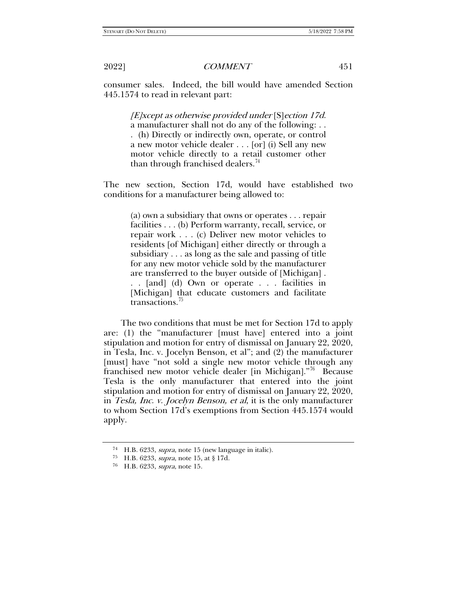consumer sales. Indeed, the bill would have amended Section 445.1574 to read in relevant part:

> [E]xcept as otherwise provided under [S]ection 17d. a manufacturer shall not do any of the following: . . . (h) Directly or indirectly own, operate, or control a new motor vehicle dealer . . . [or] (i) Sell any new motor vehicle directly to a retail customer other

than through franchised dealers.<sup>[74](#page-12-0)</sup>

The new section, Section 17d, would have established two conditions for a manufacturer being allowed to:

> (a) own a subsidiary that owns or operates . . . repair facilities . . . (b) Perform warranty, recall, service, or repair work . . . (c) Deliver new motor vehicles to residents [of Michigan] either directly or through a subsidiary . . . as long as the sale and passing of title for any new motor vehicle sold by the manufacturer are transferred to the buyer outside of [Michigan] . . . [and] (d) Own or operate . . . facilities in [Michigan] that educate customers and facilitate transactions.[75](#page-12-1)

The two conditions that must be met for Section 17d to apply are: (1) the "manufacturer [must have] entered into a joint stipulation and motion for entry of dismissal on January 22, 2020, in Tesla, Inc. v. Jocelyn Benson, et al"; and (2) the manufacturer [must] have "not sold a single new motor vehicle through any franchised new motor vehicle dealer [in Michigan]."[76](#page-12-2) Because Tesla is the only manufacturer that entered into the joint stipulation and motion for entry of dismissal on January 22, 2020, in Tesla, Inc. v. Jocelyn Benson, et al, it is the only manufacturer to whom Section 17d's exemptions from Section 445.1574 would apply.

<span id="page-12-0"></span><sup>74</sup> H.B. 6233, supra, note [15](#page-3-6) (new language in italic).

<span id="page-12-1"></span><sup>75</sup> H.B. 6233, supra, note [15,](#page-3-6) at § 17d.

<span id="page-12-2"></span><sup>76</sup> H.B. 6233, supra, note [15.](#page-3-6)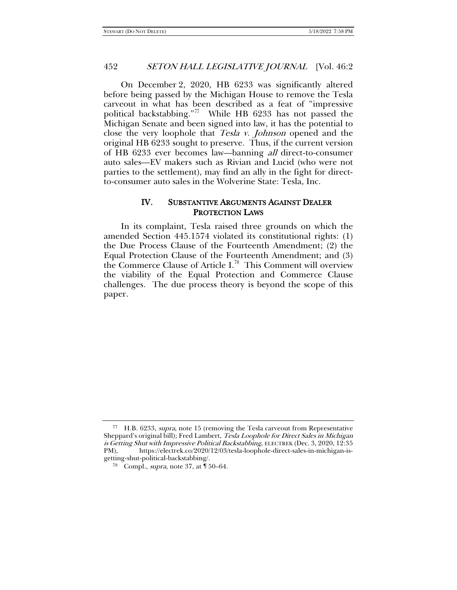On December 2, 2020, HB 6233 was significantly altered before being passed by the Michigan House to remove the Tesla carveout in what has been described as a feat of "impressive political backstabbing."<sup>[77](#page-13-0)</sup> While HB 6233 has not passed the Michigan Senate and been signed into law, it has the potential to close the very loophole that Tesla v. Johnson opened and the original HB 6233 sought to preserve. Thus, if the current version of HB 6233 ever becomes law—banning all direct-to-consumer auto sales—EV makers such as Rivian and Lucid (who were not parties to the settlement), may find an ally in the fight for directto-consumer auto sales in the Wolverine State: Tesla, Inc.

# IV. SUBSTANTIVE ARGUMENTS AGAINST DEALER PROTECTION LAWS

In its complaint, Tesla raised three grounds on which the amended Section 445.1574 violated its constitutional rights: (1) the Due Process Clause of the Fourteenth Amendment; (2) the Equal Protection Clause of the Fourteenth Amendment; and (3) the Commerce Clause of Article I.<sup>[78](#page-13-1)</sup> This Comment will overview the viability of the Equal Protection and Commerce Clause challenges. The due process theory is beyond the scope of this paper.

<span id="page-13-1"></span><span id="page-13-0"></span><sup>77</sup> H.B. 6233, supra, note [15](#page-3-6) (removing the Tesla carveout from Representative Sheppard's original bill); Fred Lambert, Tesla Loophole for Direct Sales in Michigan is Getting Shut with Impressive Political Backstabbing, ELECTREK (Dec. 3, 2020, 12:35 PM), https://electrek.co/2020/12/03/tesla-loophole-direct-sales-in-michigan-isgetting-shut-political-backstabbing/.

<sup>78</sup> Compl., supra, note [37,](#page-6-0) at ¶ 50–64.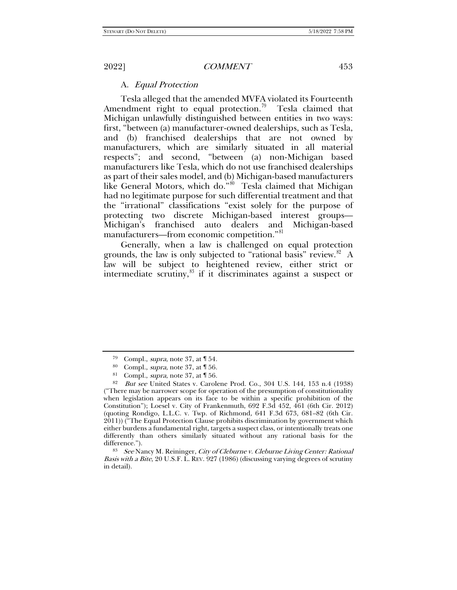## A. Equal Protection

Tesla alleged that the amended MVFA violated its Fourteenth Amendment right to equal protection.<sup>79</sup> Tesla claimed that Michigan unlawfully distinguished between entities in two ways: first, "between (a) manufacturer-owned dealerships, such as Tesla, and (b) franchised dealerships that are not owned by manufacturers, which are similarly situated in all material respects"; and second, "between (a) non-Michigan based manufacturers like Tesla, which do not use franchised dealerships as part of their sales model, and (b) Michigan-based manufacturers like General Motors, which do."<sup>[80](#page-14-1)</sup> Tesla claimed that Michigan had no legitimate purpose for such differential treatment and that the "irrational" classifications "exist solely for the purpose of protecting two discrete Michigan-based interest groups— Michigan's franchised auto dealers and Michigan-based manufacturers—from economic competition."<sup>[81](#page-14-2)</sup>

<span id="page-14-5"></span>Generally, when a law is challenged on equal protection grounds, the law is only subjected to "rational basis" review. $82 A$  $82 A$ law will be subject to heightened review, either strict or intermediate scrutiny, $83$  if it discriminates against a suspect or

<span id="page-14-4"></span>83 See Nancy M. Reininger, City of Cleburne v. Cleburne Living Center: Rational Basis with a Bite, 20 U.S.F. L. REV. 927 (1986) (discussing varying degrees of scrutiny in detail).

<sup>79</sup> Compl., supra, note [37,](#page-6-0) at ¶ 54.

<sup>80</sup> Compl., supra, note [37,](#page-6-0) at ¶ 56.

<sup>&</sup>lt;sup>81</sup> Compl., *supra*, note [37,](#page-6-0) at  $\sqrt{156}$ .

<span id="page-14-3"></span><span id="page-14-2"></span><span id="page-14-1"></span><span id="page-14-0"></span><sup>82</sup> But see United States v. Carolene Prod. Co., 304 U.S. 144, 153 n.4 (1938) ("There may be narrower scope for operation of the presumption of constitutionality when legislation appears on its face to be within a specific prohibition of the Constitution"); Loesel v. City of Frankenmuth, 692 F.3d 452, 461 (6th Cir. 2012) (quoting Rondigo, L.L.C. v. Twp. of Richmond, 641 F.3d 673, 681–82 (6th Cir. 2011)) ("The Equal Protection Clause prohibits discrimination by government which either burdens a fundamental right, targets a suspect class, or intentionally treats one differently than others similarly situated without any rational basis for the difference.").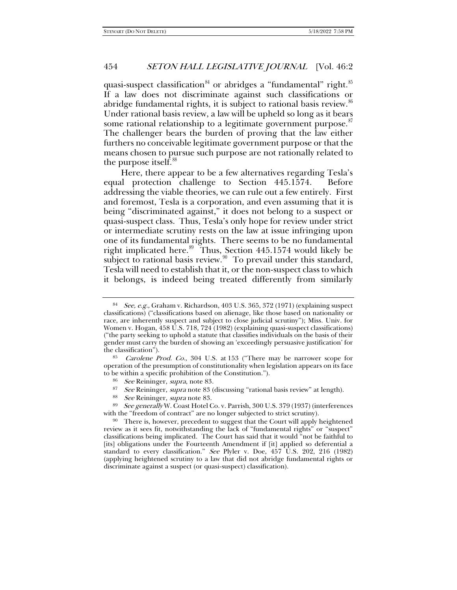quasi-suspect classification<sup>[84](#page-15-0)</sup> or abridges a "fundamental" right.<sup>[85](#page-15-1)</sup> If a law does not discriminate against such classifications or abridge fundamental rights, it is subject to rational basis review.<sup>[86](#page-15-2)</sup> Under rational basis review, a law will be upheld so long as it bears some rational relationship to a legitimate government purpose. $s<sub>i</sub>$ The challenger bears the burden of proving that the law either furthers no conceivable legitimate government purpose or that the means chosen to pursue such purpose are not rationally related to the purpose itself.<sup>[88](#page-15-4)</sup>

Here, there appear to be a few alternatives regarding Tesla's equal protection challenge to Section 445.1574. Before addressing the viable theories, we can rule out a few entirely. First and foremost, Tesla is a corporation, and even assuming that it is being "discriminated against," it does not belong to a suspect or quasi-suspect class. Thus, Tesla's only hope for review under strict or intermediate scrutiny rests on the law at issue infringing upon one of its fundamental rights. There seems to be no fundamental right implicated here. $89$  Thus, Section 445.1574 would likely be subject to rational basis review. $90\degree$  To prevail under this standard, Tesla will need to establish that it, or the non-suspect class to which it belongs, is indeed being treated differently from similarly

- <sup>87</sup> See Reininger, supra note [83](#page-14-5) (discussing "rational basis review" at length).
- <sup>88</sup> See Reininger, *supra* note [83.](#page-14-5)<br><sup>89</sup> See generally W. Coast Hotel C.

<span id="page-15-5"></span><span id="page-15-4"></span><span id="page-15-3"></span>See generally W. Coast Hotel Co. v. Parrish, 300 U.S. 379 (1937) (interferences with the "freedom of contract" are no longer subjected to strict scrutiny).

<span id="page-15-0"></span>See, e.g., Graham v. Richardson, 403 U.S. 365, 372 (1971) (explaining suspect classifications) ("classifications based on alienage, like those based on nationality or race, are inherently suspect and subject to close judicial scrutiny"); Miss. Univ. for Women v. Hogan, 458 U.S. 718, 724 (1982) (explaining quasi-suspect classifications) ("the party seeking to uphold a statute that classifies individuals on the basis of their gender must carry the burden of showing an 'exceedingly persuasive justification' for the classification").

<span id="page-15-2"></span><span id="page-15-1"></span><sup>85</sup> Carolene Prod. Co., 304 U.S. at 153 ("There may be narrower scope for operation of the presumption of constitutionality when legislation appears on its face to be within a specific prohibition of the Constitution.").

<sup>86</sup> See Reininger, supra, note [83.](#page-14-5)

<span id="page-15-6"></span><sup>&</sup>lt;sup>90</sup> There is, however, precedent to suggest that the Court will apply heightened review as it sees fit, notwithstanding the lack of "fundamental rights" or "suspect" classifications being implicated. The Court has said that it would "not be faithful to [its] obligations under the Fourteenth Amendment if [it] applied so deferential a standard to every classification." See Plyler v. Doe,  $457\text{ }\mathrm{U}$ .S. 202, 216 (1982) (applying heightened scrutiny to a law that did not abridge fundamental rights or discriminate against a suspect (or quasi-suspect) classification).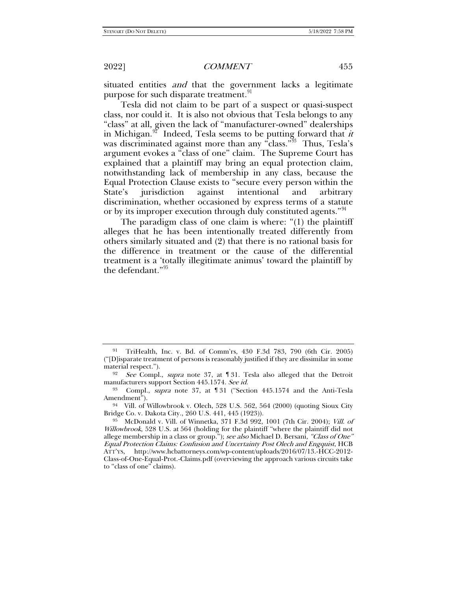situated entities *and* that the government lacks a legitimate purpose for such disparate treatment.<sup>[91](#page-16-0)</sup>

Tesla did not claim to be part of a suspect or quasi-suspect class, nor could it. It is also not obvious that Tesla belongs to any "class" at all, given the lack of "manufacturer-owned" dealerships in Michigan.<sup>97</sup> Indeed, Tesla seems to be putting forward that *it* was discriminated against more than any "class."<sup>93</sup> Thus, Tesla's argument evokes a "class of one" claim. The Supreme Court has explained that a plaintiff may bring an equal protection claim, notwithstanding lack of membership in any class, because the Equal Protection Clause exists to "secure every person within the State's jurisdiction against intentional and arbitrary discrimination, whether occasioned by express terms of a statute or by its improper execution through duly constituted agents."<sup>[94](#page-16-3)</sup>

The paradigm class of one claim is where: "(1) the plaintiff alleges that he has been intentionally treated differently from others similarly situated and (2) that there is no rational basis for the difference in treatment or the cause of the differential treatment is a 'totally illegitimate animus' toward the plaintiff by the defendant."[95](#page-16-4)

<span id="page-16-0"></span><sup>91</sup> TriHealth, Inc. v. Bd. of Comm'rs, 430 F.3d 783, 790 (6th Cir. 2005) ("[D]isparate treatment of persons is reasonably justified if they are dissimilar in some material respect.").

<span id="page-16-1"></span><sup>92</sup> See Compl., supra note [37,](#page-6-0) at 131. Tesla also alleged that the Detroit manufacturers support Section 445.1574. See id.

<span id="page-16-2"></span><sup>93</sup> Compl., supra note [37,](#page-6-0) at ¶ 31 ("Section 445.1574 and the Anti-Tesla Amendment").

<span id="page-16-3"></span><sup>94</sup> Vill. of Willowbrook v. Olech, 528 U.S. 562, 564 (2000) (quoting Sioux City Bridge Co. v. Dakota City., 260 U.S. 441, 445 (1923)).

<span id="page-16-4"></span><sup>95</sup> McDonald v. Vill. of Winnetka, 371 F.3d 992, 1001 (7th Cir. 2004); Vill. of Willowbrook, 528 U.S. at 564 (holding for the plaintiff "where the plaintiff did not allege membership in a class or group."); *see also* Michael D. Bersani, *"Class of One"* Equal Protection Claims: Confusion and Uncertainty Post Olech and Engquist, HCB ATT'YS, http://www.hcbattorneys.com/wp-content/uploads/2016/07/13.-HCC-2012- Class-of-One-Equal-Prot.-Claims.pdf (overviewing the approach various circuits take to "class of one" claims).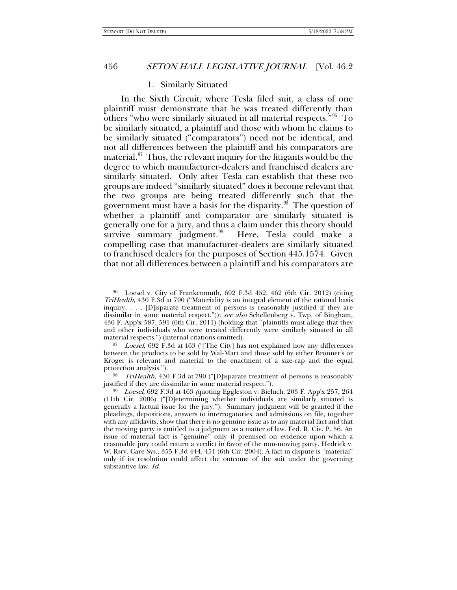#### 1. Similarly Situated

In the Sixth Circuit, where Tesla filed suit, a class of one plaintiff must demonstrate that he was treated differently than others "who were similarly situated in all material respects."[96](#page-17-0) To be similarly situated, a plaintiff and those with whom he claims to be similarly situated ("comparators") need not be identical, and not all differences between the plaintiff and his comparators are material. $97$  Thus, the relevant inquiry for the litigants would be the degree to which manufacturer-dealers and franchised dealers are similarly situated. Only after Tesla can establish that these two groups are indeed "similarly situated" does it become relevant that the two groups are being treated differently such that the government must have a basis for the disparity. $98$  The question of whether a plaintiff and comparator are similarly situated is generally one for a jury, and thus a claim under this theory should survive summary judgment.<sup>[99](#page-17-3)</sup> Here, Tesla could make a compelling case that manufacturer-dealers are similarly situated to franchised dealers for the purposes of Section 445.1574. Given that not all differences between a plaintiff and his comparators are

<span id="page-17-0"></span> $96$  Loesel v. City of Frankenmuth, 692 F.3d 452, 462 (6th Cir. 2012) (citing TriHealth, 430 F.3d at 790 ("Materiality is an integral element of the rational basis inquiry. . . . [D]isparate treatment of persons is reasonably justified if they are dissimilar in some material respect.")); see also Schellenberg v. Twp. of Bingham, 436 F. App'x 587, 591 (6th Cir. 2011) (holding that "plaintiffs must allege that they and other individuals who were treated differently were similarly situated in all material respects.") (internal citations omitted).

<span id="page-17-1"></span><sup>&</sup>lt;sup>97</sup> Loesel, 692 F.3d at 463 ("[The City] has not explained how any differences between the products to be sold by Wal-Mart and those sold by either Bronner's or Kroger is relevant and material to the enactment of a size-cap and the equal protection analysis.").

<span id="page-17-2"></span><sup>&</sup>lt;sup>98</sup> TriHealth, 430 F.3d at 790 ("[D]isparate treatment of persons is reasonably justified if they are dissimilar in some material respect.").

<span id="page-17-3"></span> $99$  *Loesel*, 692 F.3d at 463 (quoting Eggleston v. Bieluch, 203 F. App'x 257, 264 (11th Cir. 2006) ("[D]etermining whether individuals are similarly situated is generally a factual issue for the jury."). Summary judgment will be granted if the pleadings, depositions, answers to interrogatories, and admissions on file, together with any affidavits, show that there is no genuine issue as to any material fact and that the moving party is entitled to a judgment as a matter of law. Fed. R. Civ. P. 56. An issue of material fact is "genuine" only if premised on evidence upon which a reasonable jury could return a verdict in favor of the non-moving party. Hedrick v. W. Rsrv. Care Sys., 355 F.3d 444, 451 (6th Cir. 2004). A fact in dispute is "material" only if its resolution could affect the outcome of the suit under the governing substantive law. Id.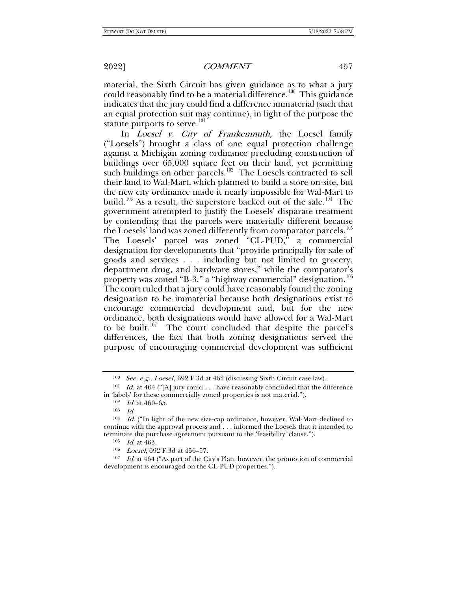material, the Sixth Circuit has given guidance as to what a jury could reasonably find to be a material difference.<sup>100</sup> This guidance indicates that the jury could find a difference immaterial (such that an equal protection suit may continue), in light of the purpose the statute purports to serve. $101$ 

In *Loesel v. City of Frankenmuth*, the Loesel family ("Loesels") brought a class of one equal protection challenge against a Michigan zoning ordinance precluding construction of buildings over 65,000 square feet on their land, yet permitting such buildings on other parcels.<sup>102</sup> The Loesels contracted to sell their land to Wal-Mart, which planned to build a store on-site, but the new city ordinance made it nearly impossible for Wal-Mart to build.<sup>[103](#page-18-3)</sup> As a result, the superstore backed out of the sale.<sup>[104](#page-18-4)</sup> The government attempted to justify the Loesels' disparate treatment by contending that the parcels were materially different because the Loesels' land was zoned differently from comparator parcels.<sup>[105](#page-18-5)</sup> The Loesels' parcel was zoned "CL-PUD," a commercial designation for developments that "provide principally for sale of goods and services . . . including but not limited to grocery, department drug, and hardware stores," while the comparator's property was zoned "B-3," a "highway commercial" designation.<sup>[106](#page-18-6)</sup> The court ruled that a jury could have reasonably found the zoning designation to be immaterial because both designations exist to encourage commercial development and, but for the new ordinance, both designations would have allowed for a Wal-Mart to be built.<sup>[107](#page-18-7)</sup> The court concluded that despite the parcel's differences, the fact that both zoning designations served the purpose of encouraging commercial development was sufficient

 $100$  See, e.g., Loesel, 692 F.3d at 462 (discussing Sixth Circuit case law).

<span id="page-18-1"></span><span id="page-18-0"></span><sup>&</sup>lt;sup>101</sup> Id. at 464 ("[A] jury could  $\dots$  have reasonably concluded that the difference in 'labels' for these commercially zoned properties is not material.").

 $102$  *Id.* at 460–65.

<sup>103</sup> Id.

<span id="page-18-4"></span><span id="page-18-3"></span><span id="page-18-2"></span><sup>104</sup> Id. ("In light of the new size-cap ordinance, however, Wal-Mart declined to continue with the approval process and . . . informed the Loesels that it intended to terminate the purchase agreement pursuant to the 'feasibility' clause.").

<sup>105</sup> Id. at 463.

<sup>106</sup> Loesel, 692 F.3d at 456–57.

<span id="page-18-7"></span><span id="page-18-6"></span><span id="page-18-5"></span> $107$  *Id.* at 464 ("As part of the City's Plan, however, the promotion of commercial development is encouraged on the CL-PUD properties.").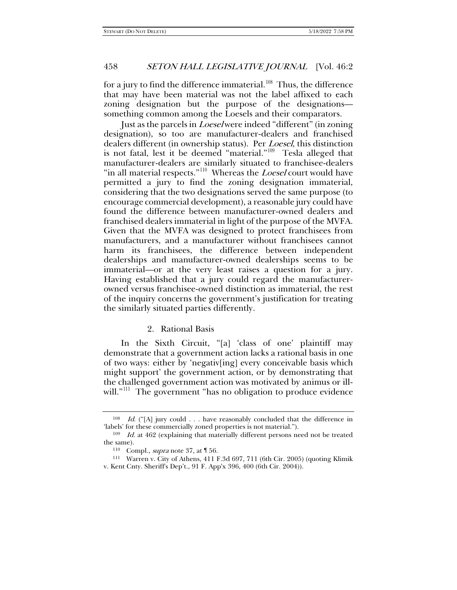for a jury to find the difference immaterial. $108$  Thus, the difference that may have been material was not the label affixed to each zoning designation but the purpose of the designations something common among the Loesels and their comparators.

Just as the parcels in Loesel were indeed "different" (in zoning designation), so too are manufacturer-dealers and franchised dealers different (in ownership status). Per *Loesel*, this distinction is not fatal, lest it be deemed "material."[109](#page-19-1) Tesla alleged that manufacturer-dealers are similarly situated to franchisee-dealers "in all material respects."<sup>[110](#page-19-2)</sup> Whereas the *Loesel* court would have permitted a jury to find the zoning designation immaterial, considering that the two designations served the same purpose (to encourage commercial development), a reasonable jury could have found the difference between manufacturer-owned dealers and franchised dealers immaterial in light of the purpose of the MVFA. Given that the MVFA was designed to protect franchisees from manufacturers, and a manufacturer without franchisees cannot harm its franchisees, the difference between independent dealerships and manufacturer-owned dealerships seems to be immaterial—or at the very least raises a question for a jury. Having established that a jury could regard the manufacturerowned versus franchisee-owned distinction as immaterial, the rest of the inquiry concerns the government's justification for treating the similarly situated parties differently.

#### 2. Rational Basis

In the Sixth Circuit, "[a] 'class of one' plaintiff may demonstrate that a government action lacks a rational basis in one of two ways: either by 'negativ[ing] every conceivable basis which might support' the government action, or by demonstrating that the challenged government action was motivated by animus or illwill."<sup>111</sup> The government "has no obligation to produce evidence

<span id="page-19-0"></span><sup>&</sup>lt;sup>108</sup> Id. ("[A] jury could . . . have reasonably concluded that the difference in 'labels' for these commercially zoned properties is not material.").

<span id="page-19-2"></span><span id="page-19-1"></span><sup>109</sup> Id. at 462 (explaining that materially different persons need not be treated the same).

<sup>110</sup> Compl., supra not[e 37,](#page-6-0) at ¶ 56.

<span id="page-19-3"></span><sup>111</sup> Warren v. City of Athens, 411 F.3d 697, 711 (6th Cir. 2005) (quoting Klimik v. Kent Cnty. Sheriff's Dep't., 91 F. App'x 396, 400 (6th Cir. 2004)).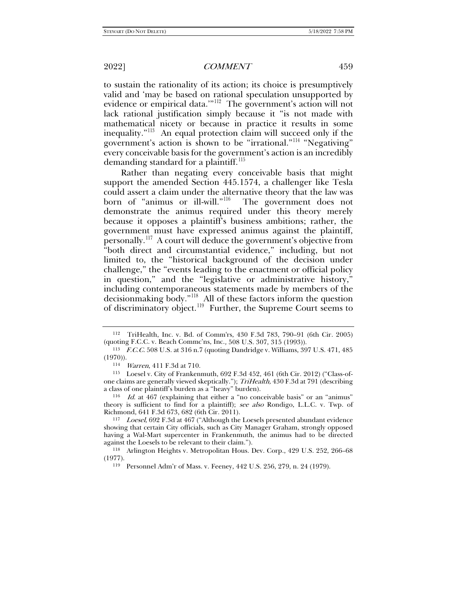to sustain the rationality of its action; its choice is presumptively valid and 'may be based on rational speculation unsupported by evidence or empirical data.'"[112](#page-20-0) The government's action will not lack rational justification simply because it "is not made with mathematical nicety or because in practice it results in some inequality."[113](#page-20-1) An equal protection claim will succeed only if the government's action is shown to be "irrational."[114](#page-20-2) "Negativing" every conceivable basis for the government's action is an incredibly demanding standard for a plaintiff.<sup>115</sup>

Rather than negating every conceivable basis that might support the amended Section 445.1574, a challenger like Tesla could assert a claim under the alternative theory that the law was born of "animus or ill-will."<sup>116</sup> The government does not demonstrate the animus required under this theory merely because it opposes a plaintiff's business ambitions; rather, the government must have expressed animus against the plaintiff, personally.[117](#page-20-5) A court will deduce the government's objective from "both direct and circumstantial evidence," including, but not limited to, the "historical background of the decision under challenge," the "events leading to the enactment or official policy in question," and the "legislative or administrative history," including contemporaneous statements made by members of the decisionmaking body."[118](#page-20-6) All of these factors inform the question of discriminatory object.<sup>[119](#page-20-7)</sup> Further, the Supreme Court seems to

<span id="page-20-0"></span><sup>112</sup> TriHealth, Inc. v. Bd. of Comm'rs, 430 F.3d 783, 790–91 (6th Cir. 2005) (quoting F.C.C. v. Beach Commc'ns, Inc., 508 U.S. 307, 315 (1993)).<br><sup>113</sup> F.C.C. 508 U.S. at 316 n.7 (quoting Dandridge v. Williams, 397 U.S. 471, 485

<span id="page-20-2"></span><span id="page-20-1"></span><sup>(1970)).</sup>

<sup>114</sup> Warren, 411 F.3d at 710.

<span id="page-20-3"></span><sup>115</sup> Loesel v. City of Frankenmuth, 692 F.3d 452, 461 (6th Cir. 2012) ("Class-ofone claims are generally viewed skeptically."); TriHealth, 430 F.3d at 791 (describing a class of one plaintiff's burden as a "heavy" burden).<br><sup>116</sup> Id. at 467 (explaining that either a "no conceivable basis" or an "animus"

<span id="page-20-4"></span>theory is sufficient to find for a plaintiff); see also Rondigo, L.L.C. v. Twp. of Richmond, 641 F.3d 673, 682 (6th Cir. 2011).

<span id="page-20-5"></span><sup>&</sup>lt;sup>117</sup> Loesel, 692 F.3d at 467 ("Although the Loesels presented abundant evidence showing that certain City officials, such as City Manager Graham, strongly opposed having a Wal-Mart supercenter in Frankenmuth, the animus had to be directed against the Loesels to be relevant to their claim.").<br><sup>118</sup> Arlington Heights v. Metropolitan Hous. Dev. Corp., 429 U.S. 252, 266–68

<span id="page-20-7"></span><span id="page-20-6"></span><sup>(1977).</sup>

<sup>119</sup> Personnel Adm'r of Mass. v. Feeney, 442 U.S. 256, 279, n. 24 (1979).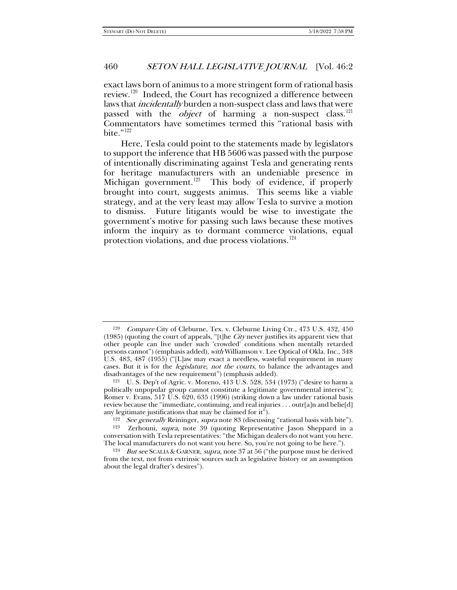exact laws born of animus to a more stringent form of rational basis review.<sup>[120](#page-21-0)</sup> Indeed, the Court has recognized a difference between laws that *incidentally* burden a non-suspect class and laws that were passed with the *object* of harming a non-suspect class.<sup>[121](#page-21-1)</sup> Commentators have sometimes termed this "rational basis with bite." $^{122}$  $^{122}$  $^{122}$ 

Here, Tesla could point to the statements made by legislators to support the inference that HB 5606 was passed with the purpose of intentionally discriminating against Tesla and generating rents for heritage manufacturers with an undeniable presence in Michigan government.<sup>123</sup> This body of evidence, if properly brought into court, suggests animus. This seems like a viable strategy, and at the very least may allow Tesla to survive a motion to dismiss. Future litigants would be wise to investigate the government's motive for passing such laws because these motives inform the inquiry as to dormant commerce violations, equal protection violations, and due process violations.<sup>[124](#page-21-4)</sup>

<span id="page-21-0"></span><sup>&</sup>lt;sup>120</sup> Compare City of Cleburne, Tex. v. Cleburne Living Ctr., 473 U.S. 432, 450 (1985) (quoting the court of appeals, "[t]he *City* never justifies its apparent view that other people can live under such 'crowded' conditions when mentally retarded persons cannot") (emphasis added), with Williamson v. Lee Optical of Okla. Inc., 348 U.S. 483, 487 (1955) ("[L]aw may exact a needless, wasteful requirement in many cases. But it is for the *legislature, not the courts*, to balance the advantages and disadvantages of the new requirement") (emphasis added).

<span id="page-21-1"></span><sup>121</sup> U. S. Dep't of Agric. v. Moreno, 413 U.S. 528, 534 (1973) ("desire to harm a politically unpopular group cannot constitute a legitimate governmental interest"); Romer v. Evans, 517 U.S. 620, 635 (1996) (striking down a law under rational basis review because the "immediate, continuing, and real injuries . . . outr[a]n and belie[d] any legitimate justifications that may be claimed for it").

<sup>&</sup>lt;sup>122</sup> See generally Reininger, supra not[e 83](#page-14-5) (discussing "rational basis with bite").<br><sup>123</sup> Zerhouni, *supra*, note 39 (quoting Representative Iason Sheppard in a

<span id="page-21-3"></span><span id="page-21-2"></span>Zerhouni, supra, note [39](#page-6-6) (quoting Representative Jason Sheppard in a conversation with Tesla representatives: "the Michigan dealers do not want you here.

<span id="page-21-4"></span><sup>&</sup>lt;sup>124</sup> But see SCALIA & GARNER, supra, note 37 at 56 ("the purpose must be derived from the text, not from extrinsic sources such as legislative history or an assumption about the legal drafter's desires").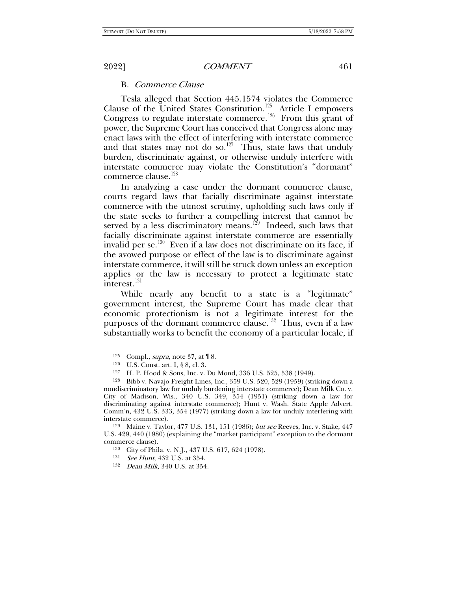# B. Commerce Clause

Tesla alleged that Section 445.1574 violates the Commerce Clause of the United States Constitution.<sup>125</sup> Article I empowers Congress to regulate interstate commerce.<sup>[126](#page-22-1)</sup> From this grant of power, the Supreme Court has conceived that Congress alone may enact laws with the effect of interfering with interstate commerce and that states may not do so.<sup>127</sup> Thus, state laws that unduly burden, discriminate against, or otherwise unduly interfere with interstate commerce may violate the Constitution's "dormant" commerce clause.<sup>[128](#page-22-3)</sup>

In analyzing a case under the dormant commerce clause, courts regard laws that facially discriminate against interstate commerce with the utmost scrutiny, upholding such laws only if the state seeks to further a compelling interest that cannot be served by a less discriminatory means.<sup>[129](#page-22-4)</sup> Indeed, such laws that facially discriminate against interstate commerce are essentially invalid per se.<sup>130</sup> Even if a law does not discriminate on its face, if the avowed purpose or effect of the law is to discriminate against interstate commerce, it will still be struck down unless an exception applies or the law is necessary to protect a legitimate state interest.<sup>[131](#page-22-6)</sup>

While nearly any benefit to a state is a "legitimate" government interest, the Supreme Court has made clear that economic protectionism is not a legitimate interest for the purposes of the dormant commerce clause.<sup>132</sup> Thus, even if a law substantially works to benefit the economy of a particular locale, if

<span id="page-22-7"></span><span id="page-22-6"></span><span id="page-22-5"></span><span id="page-22-4"></span><sup>129</sup> Maine v. Taylor, 477 U.S. 131, 151 (1986); but see Reeves, Inc. v. Stake, 447 U.S. 429, 440 (1980) (explaining the "market participant" exception to the dormant commerce clause).<br><sup>130</sup> City of Phila. v. N.J., 437 U.S. 617, 624 (1978).

<sup>125</sup> Compl., supra, note [37,](#page-6-0) at ¶ 8. 126 U.S. Const. art. I, § 8, cl. 3.

<sup>127</sup> H. P. Hood & Sons, Inc. v. Du Mond, 336 U.S. 525, 538 (1949).

<span id="page-22-3"></span><span id="page-22-2"></span><span id="page-22-1"></span><span id="page-22-0"></span><sup>128</sup> Bibb v. Navajo Freight Lines, Inc., 359 U.S. 520, 529 (1959) (striking down a nondiscriminatory law for unduly burdening interstate commerce); Dean Milk Co. v. City of Madison, Wis., 340 U.S. 349, 354 (1951) (striking down a law for discriminating against interstate commerce); Hunt v. Wash. State Apple Advert. Comm'n, 432 U.S. 333, 354 (1977) (striking down a law for unduly interfering with interstate commerce).

<sup>131</sup> See Hunt, 432 U.S. at 354.

<sup>132</sup> Dean Milk, 340 U.S. at 354.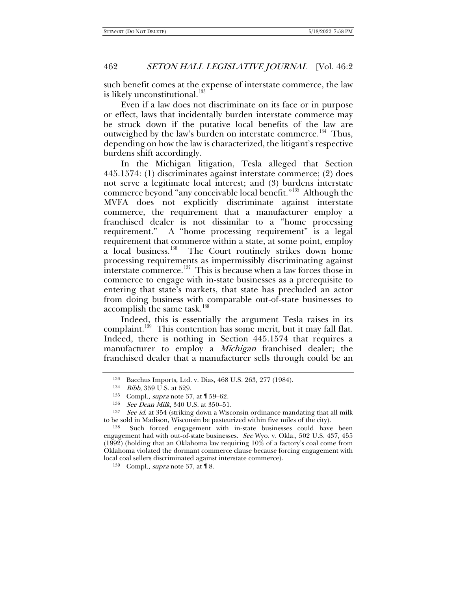such benefit comes at the expense of interstate commerce, the law is likely unconstitutional.<sup>[133](#page-23-0)</sup>

Even if a law does not discriminate on its face or in purpose or effect, laws that incidentally burden interstate commerce may be struck down if the putative local benefits of the law are outweighed by the law's burden on interstate commerce.<sup>[134](#page-23-1)</sup> Thus, depending on how the law is characterized, the litigant's respective burdens shift accordingly.

In the Michigan litigation, Tesla alleged that Section 445.1574: (1) discriminates against interstate commerce; (2) does not serve a legitimate local interest; and (3) burdens interstate commerce beyond "any conceivable local benefit."[135](#page-23-2) Although the MVFA does not explicitly discriminate against interstate commerce, the requirement that a manufacturer employ a franchised dealer is not dissimilar to a "home processing requirement." A "home processing requirement" is a legal requirement that commerce within a state, at some point, employ a local business.<sup>136</sup> The Court routinely strikes down home processing requirements as impermissibly discriminating against interstate commerce.<sup>137</sup> This is because when a law forces those in commerce to engage with in-state businesses as a prerequisite to entering that state's markets, that state has precluded an actor from doing business with comparable out-of-state businesses to accomplish the same task.<sup>[138](#page-23-5)</sup>

Indeed, this is essentially the argument Tesla raises in its complaint.<sup>[139](#page-23-6)</sup> This contention has some merit, but it may fall flat. Indeed, there is nothing in Section 445.1574 that requires a manufacturer to employ a *Michigan* franchised dealer; the franchised dealer that a manufacturer sells through could be an

<sup>133</sup> Bacchus Imports, Ltd. v. Dias, 468 U.S. 263, 277 (1984).

<sup>134</sup> Bibb, 359 U.S. at 529.

<sup>135</sup> Compl., supra not[e 37,](#page-6-0) at ¶ 59–62.

<sup>136</sup> See Dean Milk, 340 U.S. at 350–51.

<span id="page-23-4"></span><span id="page-23-3"></span><span id="page-23-2"></span><span id="page-23-1"></span><span id="page-23-0"></span> $137$  See id. at 354 (striking down a Wisconsin ordinance mandating that all milk to be sold in Madison, Wisconsin be pasteurized within five miles of the city). 138 Such forced engagement with in-state businesses could have been

<span id="page-23-6"></span><span id="page-23-5"></span>engagement had with out-of-state businesses. See Wyo. v. Okla., 502 U.S. 437, 455  $(1992)$  (holding that an Oklahoma law requiring  $10\%$  of a factory's coal come from Oklahoma violated the dormant commerce clause because forcing engagement with local coal sellers discriminated against interstate commerce).

<sup>139</sup> Compl., supra not[e 37,](#page-6-0) at ¶ 8.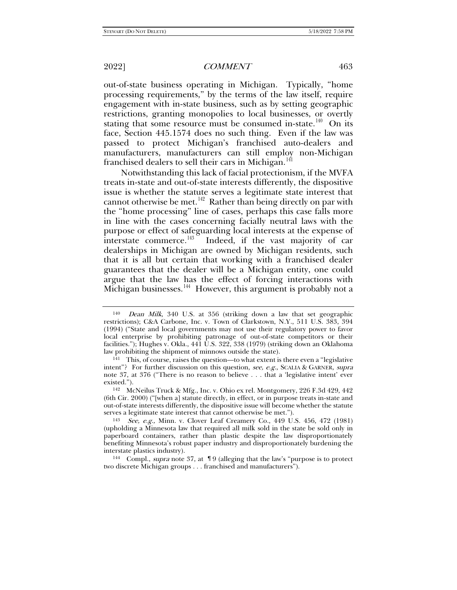out-of-state business operating in Michigan. Typically, "home processing requirements," by the terms of the law itself, require engagement with in-state business, such as by setting geographic restrictions, granting monopolies to local businesses, or overtly stating that some resource must be consumed in-state.<sup>[140](#page-24-0)</sup> On its face, Section 445.1574 does no such thing. Even if the law was passed to protect Michigan's franchised auto-dealers and manufacturers, manufacturers can still employ non-Michigan franchised dealers to sell their cars in Michigan.<sup>[141](#page-24-1)</sup>

Notwithstanding this lack of facial protectionism, if the MVFA treats in-state and out-of-state interests differently, the dispositive issue is whether the statute serves a legitimate state interest that cannot otherwise be met.<sup>142</sup> Rather than being directly on par with the "home processing" line of cases, perhaps this case falls more in line with the cases concerning facially neutral laws with the purpose or effect of safeguarding local interests at the expense of interstate commerce. $^{143}$  $^{143}$  $^{143}$  Indeed, if the vast majority of car dealerships in Michigan are owned by Michigan residents, such that it is all but certain that working with a franchised dealer guarantees that the dealer will be a Michigan entity, one could argue that the law has the effect of forcing interactions with Michigan businesses.<sup>[144](#page-24-4)</sup> However, this argument is probably not a

<span id="page-24-0"></span><sup>140</sup> Dean Milk, 340 U.S. at 356 (striking down a law that set geographic restrictions); C&A Carbone, Inc. v. Town of Clarkstown, N.Y., 511 U.S. 383, 394 (1994) ("State and local governments may not use their regulatory power to favor local enterprise by prohibiting patronage of out-of-state competitors or their facilities."); Hughes v. Okla., 441 U.S. 322, 338 (1979) (striking down an Oklahoma law prohibiting the shipment of minnows outside the state).

<span id="page-24-1"></span> $141$  This, of course, raises the question—to what extent is there even a "legislative" intent"? For further discussion on this question, see, e.g., SCALIA & GARNER, supra note [37,](#page-6-0) at 376 ("There is no reason to believe . . . that a 'legislative intent' ever

<span id="page-24-2"></span><sup>&</sup>lt;sup>142</sup> McNeilus Truck & Mfg., Inc. v. Ohio ex rel. Montgomery, 226 F.3d 429, 442 (6th Cir. 2000) ("[when a] statute directly, in effect, or in purpose treats in-state and out-of-state interests differently, the dispositive issue will become whether the statute

<span id="page-24-3"></span><sup>&</sup>lt;sup>143</sup> See, e.g., Minn. v. Clover Leaf Creamery Co., 449 U.S. 456, 472 (1981) (upholding a Minnesota law that required all milk sold in the state be sold only in paperboard containers, rather than plastic despite the law disproportionately benefiting Minnesota's robust paper industry and disproportionately burdening the interstate plastics industry).<br><sup>144</sup> Compl., *supra* note [37,](#page-6-0) at ¶ 9 (alleging that the law's "purpose is to protect

<span id="page-24-4"></span>two discrete Michigan groups . . . franchised and manufacturers").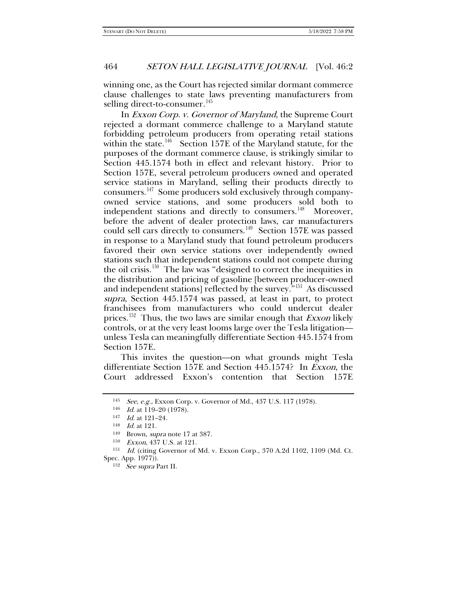winning one, as the Court has rejected similar dormant commerce clause challenges to state laws preventing manufacturers from selling direct-to-consumer.<sup>[145](#page-25-0)</sup>

In Exxon Corp. v. Governor of Maryland, the Supreme Court rejected a dormant commerce challenge to a Maryland statute forbidding petroleum producers from operating retail stations within the state.<sup>[146](#page-25-1)</sup> Section 157E of the Maryland statute, for the purposes of the dormant commerce clause, is strikingly similar to Section 445.1574 both in effect and relevant history. Prior to Section 157E, several petroleum producers owned and operated service stations in Maryland, selling their products directly to consumers.[147](#page-25-2) Some producers sold exclusively through companyowned service stations, and some producers sold both to independent stations and directly to consumers.<sup>[148](#page-25-3)</sup> Moreover, before the advent of dealer protection laws, car manufacturers could sell cars directly to consumers.<sup>149</sup> Section 157E was passed in response to a Maryland study that found petroleum producers favored their own service stations over independently owned stations such that independent stations could not compete during the oil crisis.<sup>[150](#page-25-5)</sup> The law was "designed to correct the inequities in the distribution and pricing of gasoline [between producer-owned and independent stations] reflected by the survey."<sup>5[151](#page-25-6)</sup> As discussed supra, Section 445.1574 was passed, at least in part, to protect franchisees from manufacturers who could undercut dealer prices.<sup>[152](#page-25-7)</sup> Thus, the two laws are similar enough that *Exxon* likely controls, or at the very least looms large over the Tesla litigation unless Tesla can meaningfully differentiate Section 445.1574 from Section 157E.

This invites the question—on what grounds might Tesla differentiate Section 157E and Section 445.1574? In Exxon, the Court addressed Exxon's contention that Section 157E

<span id="page-25-0"></span><sup>145</sup> See, e.g., Exxon Corp. v. Governor of Md., 437 U.S. 117 (1978).

<sup>146</sup> *Id.* at 119-20 (1978).

<sup>147</sup> *Id.* at 121-24.

<sup>148</sup> Id. at 121.

<sup>149</sup> Brown, supra note [17](#page-3-5) at 387.

<sup>150</sup> Exxon, 437 U.S. at 121.

<span id="page-25-7"></span><span id="page-25-6"></span><span id="page-25-5"></span><span id="page-25-4"></span><span id="page-25-3"></span><span id="page-25-2"></span><span id="page-25-1"></span><sup>151</sup> Id. (citing Governor of Md. v. Exxon Corp., 370 A.2d 1102, 1109 (Md. Ct. Spec. App. 1977)).

<sup>152</sup> See supra Part II.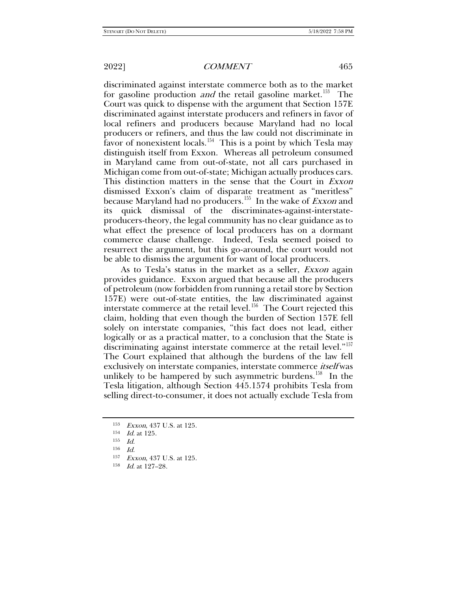discriminated against interstate commerce both as to the market for gasoline production *and* the retail gasoline market.<sup>[153](#page-26-0)</sup> The Court was quick to dispense with the argument that Section 157E discriminated against interstate producers and refiners in favor of local refiners and producers because Maryland had no local producers or refiners, and thus the law could not discriminate in favor of nonexistent locals.<sup>154</sup> This is a point by which Tesla may distinguish itself from Exxon. Whereas all petroleum consumed in Maryland came from out-of-state, not all cars purchased in Michigan come from out-of-state; Michigan actually produces cars. This distinction matters in the sense that the Court in Exxon dismissed Exxon's claim of disparate treatment as "meritless" because Maryland had no producers.<sup>155</sup> In the wake of *Exxon* and its quick dismissal of the discriminates-against-interstateproducers-theory, the legal community has no clear guidance as to what effect the presence of local producers has on a dormant commerce clause challenge. Indeed, Tesla seemed poised to resurrect the argument, but this go-around, the court would not be able to dismiss the argument for want of local producers.

As to Tesla's status in the market as a seller, Exxon again provides guidance. Exxon argued that because all the producers of petroleum (now forbidden from running a retail store by Section 157E) were out-of-state entities, the law discriminated against interstate commerce at the retail level.<sup>156</sup> The Court rejected this claim, holding that even though the burden of Section 157E fell solely on interstate companies, "this fact does not lead, either logically or as a practical matter, to a conclusion that the State is discriminating against interstate commerce at the retail level."<sup>[157](#page-26-4)</sup> The Court explained that although the burdens of the law fell exclusively on interstate companies, interstate commerce *itself* was unlikely to be hampered by such asymmetric burdens.<sup>[158](#page-26-5)</sup> In the Tesla litigation, although Section 445.1574 prohibits Tesla from selling direct-to-consumer, it does not actually exclude Tesla from

<span id="page-26-0"></span><sup>153</sup> Exxon, 437 U.S. at 125.

<span id="page-26-1"></span><sup>154</sup> Id. at 125.

<span id="page-26-2"></span><sup>155</sup> Id.

<span id="page-26-3"></span> $156$  Id.

<span id="page-26-4"></span><sup>157</sup> Exxon, 437 U.S. at 125.

<span id="page-26-5"></span><sup>158</sup> *Id.* at 127-28.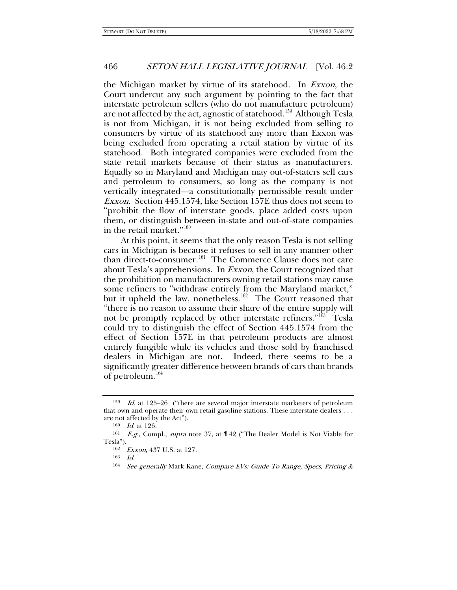the Michigan market by virtue of its statehood. In Exxon, the Court undercut any such argument by pointing to the fact that interstate petroleum sellers (who do not manufacture petroleum) are not affected by the act, agnostic of statehood.<sup>[159](#page-27-0)</sup> Although Tesla is not from Michigan, it is not being excluded from selling to consumers by virtue of its statehood any more than Exxon was being excluded from operating a retail station by virtue of its statehood. Both integrated companies were excluded from the state retail markets because of their status as manufacturers. Equally so in Maryland and Michigan may out-of-staters sell cars and petroleum to consumers, so long as the company is not vertically integrated—a constitutionally permissible result under Exxon. Section 445.1574, like Section 157E thus does not seem to "prohibit the flow of interstate goods, place added costs upon them, or distinguish between in-state and out-of-state companies in the retail market."<sup>[160](#page-27-1)</sup>

At this point, it seems that the only reason Tesla is not selling cars in Michigan is because it refuses to sell in any manner other than direct-to-consumer.<sup>161</sup> The Commerce Clause does not care about Tesla's apprehensions. In Exxon, the Court recognized that the prohibition on manufacturers owning retail stations may cause some refiners to "withdraw entirely from the Maryland market," but it upheld the law, nonetheless.<sup>[162](#page-27-3)</sup> The Court reasoned that "there is no reason to assume their share of the entire supply will not be promptly replaced by other interstate refiners." $163$  Tesla could try to distinguish the effect of Section 445.1574 from the effect of Section 157E in that petroleum products are almost entirely fungible while its vehicles and those sold by franchised dealers in Michigan are not. Indeed, there seems to be a significantly greater difference between brands of cars than brands of petroleum.<sup>[164](#page-27-5)</sup>

<span id="page-27-0"></span> $159$  *Id.* at 125–26 ("there are several major interstate marketers of petroleum that own and operate their own retail gasoline stations. These interstate dealers . . . are not affected by the Act").

<sup>160</sup> Id. at 126.

<span id="page-27-5"></span><span id="page-27-4"></span><span id="page-27-3"></span><span id="page-27-2"></span><span id="page-27-1"></span><sup>161</sup> E.g., Compl., supra note 37, at ¶ 42 ("The Dealer Model is Not Viable for Tesla").

<sup>162</sup> Exxon, 437 U.S. at 127.

<sup>163</sup> Id.

<sup>&</sup>lt;sup>164</sup> See generally Mark Kane, Compare EVs: Guide To Range, Specs, Pricing &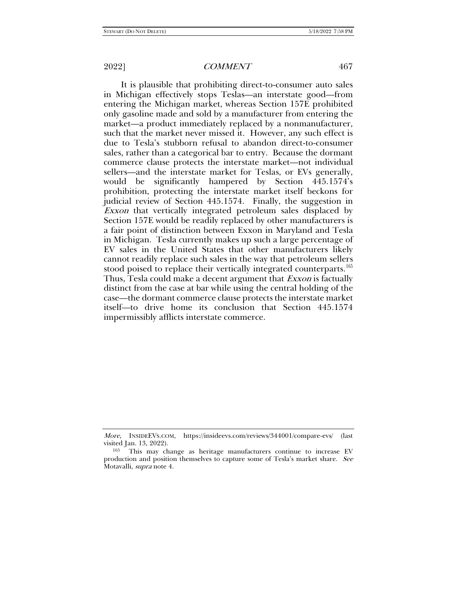It is plausible that prohibiting direct-to-consumer auto sales in Michigan effectively stops Teslas—an interstate good—from entering the Michigan market, whereas Section 157E prohibited only gasoline made and sold by a manufacturer from entering the market—a product immediately replaced by a nonmanufacturer, such that the market never missed it. However, any such effect is due to Tesla's stubborn refusal to abandon direct-to-consumer sales, rather than a categorical bar to entry. Because the dormant commerce clause protects the interstate market—not individual sellers—and the interstate market for Teslas, or EVs generally, would be significantly hampered by Section 445.1574's prohibition, protecting the interstate market itself beckons for judicial review of Section 445.1574. Finally, the suggestion in Exxon that vertically integrated petroleum sales displaced by Section 157E would be readily replaced by other manufacturers is a fair point of distinction between Exxon in Maryland and Tesla in Michigan. Tesla currently makes up such a large percentage of EV sales in the United States that other manufacturers likely cannot readily replace such sales in the way that petroleum sellers stood poised to replace their vertically integrated counterparts.<sup>[165](#page-28-0)</sup> Thus, Tesla could make a decent argument that *Exxon* is factually distinct from the case at bar while using the central holding of the case—the dormant commerce clause protects the interstate market itself—to drive home its conclusion that Section 445.1574 impermissibly afflicts interstate commerce.

More, INSIDEEVS.COM, https://insideevs.com/reviews/344001/compare-evs/ (last visited Jan. 13, 2022).

<span id="page-28-0"></span><sup>&</sup>lt;sup>165</sup> This may change as heritage manufacturers continue to increase EV production and position themselves to capture some of Tesla's market share. See Motavalli, *supra* note 4.